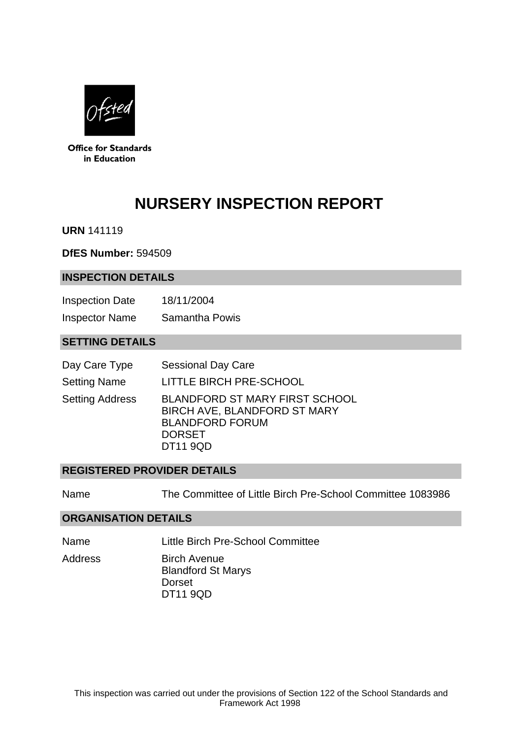

**Office for Standards** in Education

# **NURSERY INSPECTION REPORT**

**URN** 141119

**DfES Number:** 594509

#### **INSPECTION DETAILS**

Inspection Date 18/11/2004 Inspector Name Samantha Powis

## **SETTING DETAILS**

| Day Care Type          | <b>Sessional Day Care</b>                                                                                                                  |
|------------------------|--------------------------------------------------------------------------------------------------------------------------------------------|
| <b>Setting Name</b>    | <b>LITTLE BIRCH PRE-SCHOOL</b>                                                                                                             |
| <b>Setting Address</b> | <b>BLANDFORD ST MARY FIRST SCHOOL</b><br><b>BIRCH AVE, BLANDFORD ST MARY</b><br><b>BLANDFORD FORUM</b><br><b>DORSET</b><br><b>DT11 9QD</b> |

## **REGISTERED PROVIDER DETAILS**

Name The Committee of Little Birch Pre-School Committee 1083986

#### **ORGANISATION DETAILS**

Name Little Birch Pre-School Committee Address Birch Avenue Blandford St Marys Dorset DT11 9QD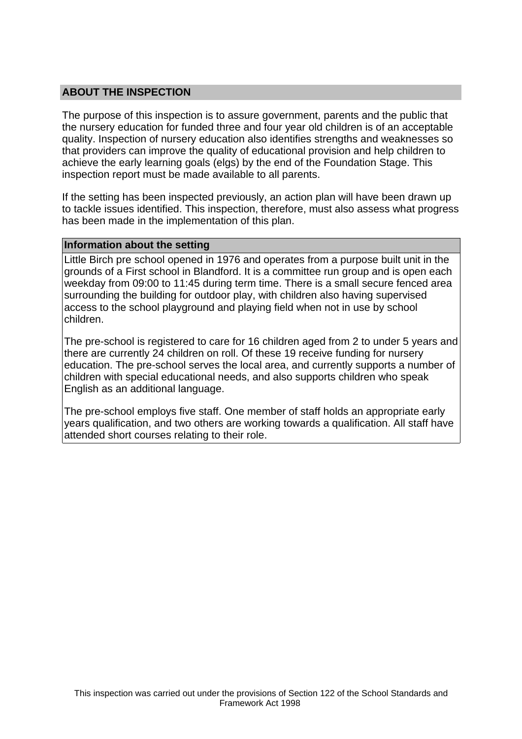## **ABOUT THE INSPECTION**

The purpose of this inspection is to assure government, parents and the public that the nursery education for funded three and four year old children is of an acceptable quality. Inspection of nursery education also identifies strengths and weaknesses so that providers can improve the quality of educational provision and help children to achieve the early learning goals (elgs) by the end of the Foundation Stage. This inspection report must be made available to all parents.

If the setting has been inspected previously, an action plan will have been drawn up to tackle issues identified. This inspection, therefore, must also assess what progress has been made in the implementation of this plan.

#### **Information about the setting**

Little Birch pre school opened in 1976 and operates from a purpose built unit in the grounds of a First school in Blandford. It is a committee run group and is open each weekday from 09:00 to 11:45 during term time. There is a small secure fenced area surrounding the building for outdoor play, with children also having supervised access to the school playground and playing field when not in use by school children.

The pre-school is registered to care for 16 children aged from 2 to under 5 years and there are currently 24 children on roll. Of these 19 receive funding for nursery education. The pre-school serves the local area, and currently supports a number of children with special educational needs, and also supports children who speak English as an additional language.

The pre-school employs five staff. One member of staff holds an appropriate early years qualification, and two others are working towards a qualification. All staff have attended short courses relating to their role.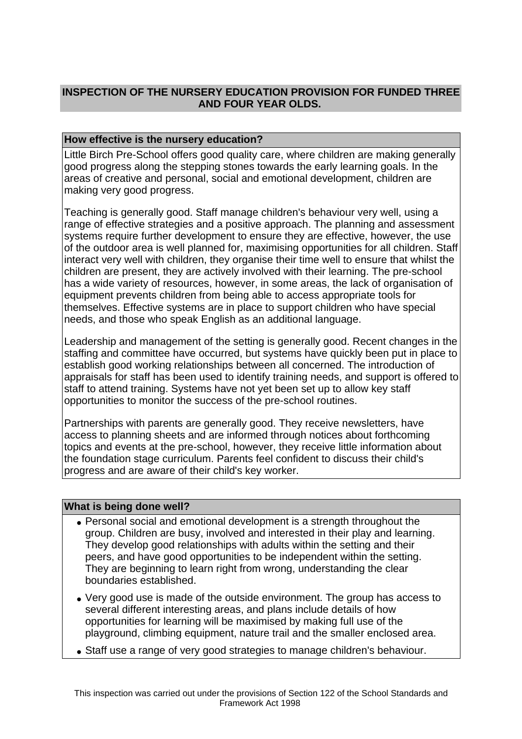# **INSPECTION OF THE NURSERY EDUCATION PROVISION FOR FUNDED THREE AND FOUR YEAR OLDS.**

## **How effective is the nursery education?**

Little Birch Pre-School offers good quality care, where children are making generally good progress along the stepping stones towards the early learning goals. In the areas of creative and personal, social and emotional development, children are making very good progress.

Teaching is generally good. Staff manage children's behaviour very well, using a range of effective strategies and a positive approach. The planning and assessment systems require further development to ensure they are effective, however, the use of the outdoor area is well planned for, maximising opportunities for all children. Staff interact very well with children, they organise their time well to ensure that whilst the children are present, they are actively involved with their learning. The pre-school has a wide variety of resources, however, in some areas, the lack of organisation of equipment prevents children from being able to access appropriate tools for themselves. Effective systems are in place to support children who have special needs, and those who speak English as an additional language.

Leadership and management of the setting is generally good. Recent changes in the staffing and committee have occurred, but systems have quickly been put in place to establish good working relationships between all concerned. The introduction of appraisals for staff has been used to identify training needs, and support is offered to staff to attend training. Systems have not yet been set up to allow key staff opportunities to monitor the success of the pre-school routines.

Partnerships with parents are generally good. They receive newsletters, have access to planning sheets and are informed through notices about forthcoming topics and events at the pre-school, however, they receive little information about the foundation stage curriculum. Parents feel confident to discuss their child's progress and are aware of their child's key worker.

### **What is being done well?**

- Personal social and emotional development is a strength throughout the group. Children are busy, involved and interested in their play and learning. They develop good relationships with adults within the setting and their peers, and have good opportunities to be independent within the setting. They are beginning to learn right from wrong, understanding the clear boundaries established.
- Very good use is made of the outside environment. The group has access to several different interesting areas, and plans include details of how opportunities for learning will be maximised by making full use of the playground, climbing equipment, nature trail and the smaller enclosed area.
- Staff use a range of very good strategies to manage children's behaviour.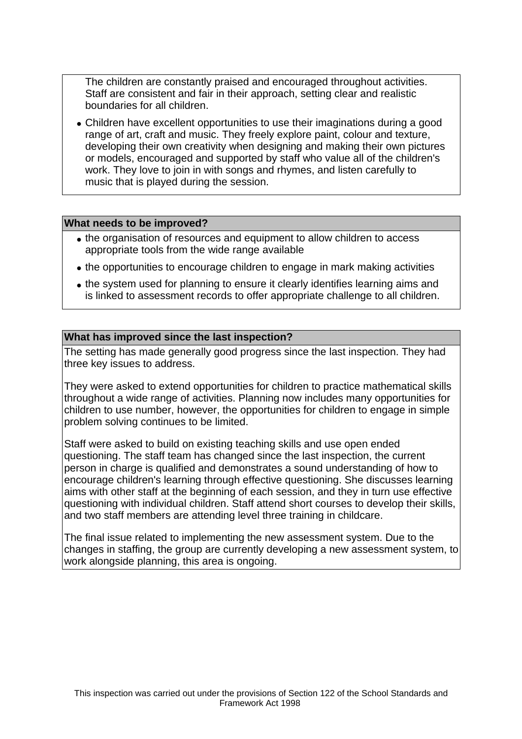The children are constantly praised and encouraged throughout activities. Staff are consistent and fair in their approach, setting clear and realistic boundaries for all children.

• Children have excellent opportunities to use their imaginations during a good range of art, craft and music. They freely explore paint, colour and texture, developing their own creativity when designing and making their own pictures or models, encouraged and supported by staff who value all of the children's work. They love to join in with songs and rhymes, and listen carefully to music that is played during the session.

#### **What needs to be improved?**

- the organisation of resources and equipment to allow children to access appropriate tools from the wide range available
- the opportunities to encourage children to engage in mark making activities
- the system used for planning to ensure it clearly identifies learning aims and is linked to assessment records to offer appropriate challenge to all children.

#### **What has improved since the last inspection?**

The setting has made generally good progress since the last inspection. They had three key issues to address.

They were asked to extend opportunities for children to practice mathematical skills throughout a wide range of activities. Planning now includes many opportunities for children to use number, however, the opportunities for children to engage in simple problem solving continues to be limited.

Staff were asked to build on existing teaching skills and use open ended questioning. The staff team has changed since the last inspection, the current person in charge is qualified and demonstrates a sound understanding of how to encourage children's learning through effective questioning. She discusses learning aims with other staff at the beginning of each session, and they in turn use effective questioning with individual children. Staff attend short courses to develop their skills, and two staff members are attending level three training in childcare.

The final issue related to implementing the new assessment system. Due to the changes in staffing, the group are currently developing a new assessment system, to work alongside planning, this area is ongoing.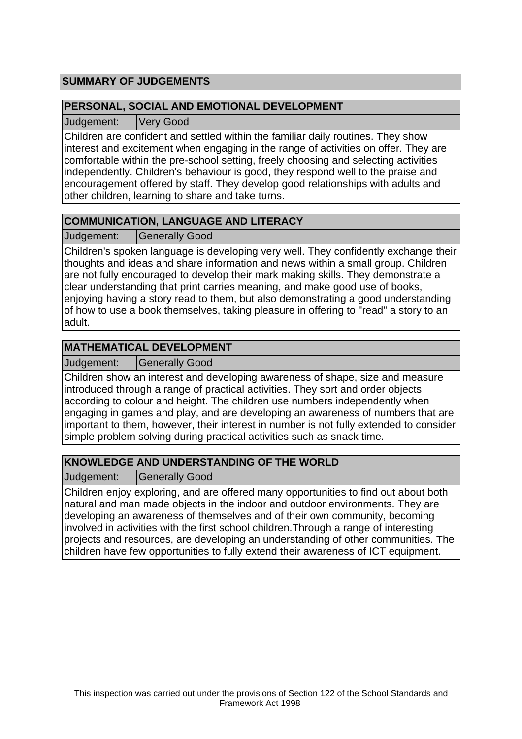# **SUMMARY OF JUDGEMENTS**

## **PERSONAL, SOCIAL AND EMOTIONAL DEVELOPMENT**

Judgement: Very Good

Children are confident and settled within the familiar daily routines. They show interest and excitement when engaging in the range of activities on offer. They are comfortable within the pre-school setting, freely choosing and selecting activities independently. Children's behaviour is good, they respond well to the praise and encouragement offered by staff. They develop good relationships with adults and other children, learning to share and take turns.

# **COMMUNICATION, LANGUAGE AND LITERACY**

Judgement: Generally Good

Children's spoken language is developing very well. They confidently exchange their thoughts and ideas and share information and news within a small group. Children are not fully encouraged to develop their mark making skills. They demonstrate a clear understanding that print carries meaning, and make good use of books, enjoying having a story read to them, but also demonstrating a good understanding of how to use a book themselves, taking pleasure in offering to "read" a story to an adult.

# **MATHEMATICAL DEVELOPMENT**

Judgement: | Generally Good

Children show an interest and developing awareness of shape, size and measure introduced through a range of practical activities. They sort and order objects according to colour and height. The children use numbers independently when engaging in games and play, and are developing an awareness of numbers that are important to them, however, their interest in number is not fully extended to consider simple problem solving during practical activities such as snack time.

# **KNOWLEDGE AND UNDERSTANDING OF THE WORLD**

Judgement: Generally Good

Children enjoy exploring, and are offered many opportunities to find out about both natural and man made objects in the indoor and outdoor environments. They are developing an awareness of themselves and of their own community, becoming involved in activities with the first school children.Through a range of interesting projects and resources, are developing an understanding of other communities. The children have few opportunities to fully extend their awareness of ICT equipment.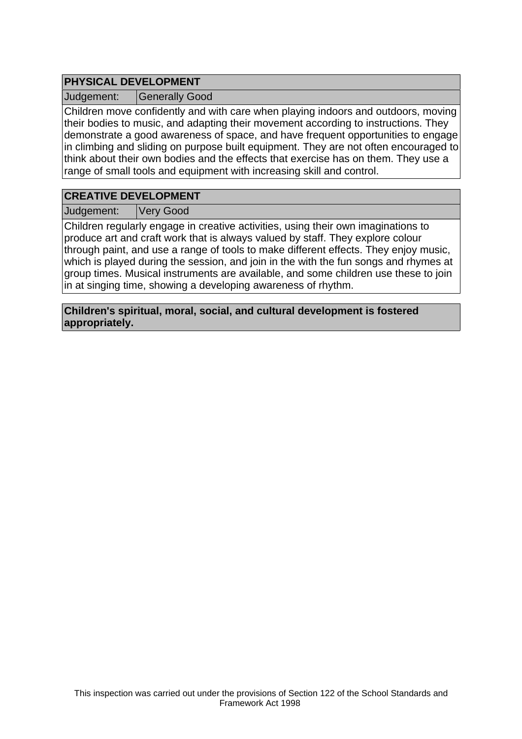# **PHYSICAL DEVELOPMENT**

Judgement: Generally Good

Children move confidently and with care when playing indoors and outdoors, moving their bodies to music, and adapting their movement according to instructions. They demonstrate a good awareness of space, and have frequent opportunities to engage in climbing and sliding on purpose built equipment. They are not often encouraged to think about their own bodies and the effects that exercise has on them. They use a range of small tools and equipment with increasing skill and control.

# **CREATIVE DEVELOPMENT**

Judgement: Very Good

Children regularly engage in creative activities, using their own imaginations to produce art and craft work that is always valued by staff. They explore colour through paint, and use a range of tools to make different effects. They enjoy music, which is played during the session, and join in the with the fun songs and rhymes at group times. Musical instruments are available, and some children use these to join in at singing time, showing a developing awareness of rhythm.

**Children's spiritual, moral, social, and cultural development is fostered appropriately.**